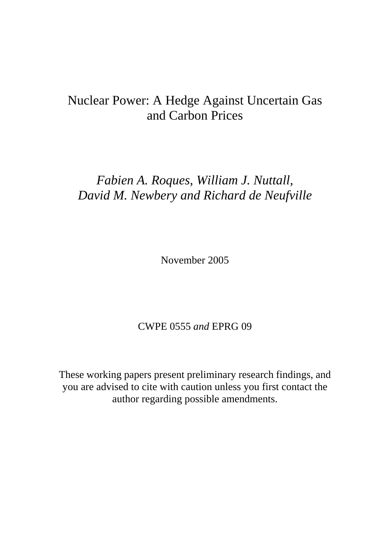# Nuclear Power: A Hedge Against Uncertain Gas and Carbon Prices

# *Fabien A. Roques, William J. Nuttall, David M. Newbery and Richard de Neufville*

November 2005

# CWPE 0555 *and* EPRG 09

These working papers present preliminary research findings, and you are advised to cite with caution unless you first contact the author regarding possible amendments.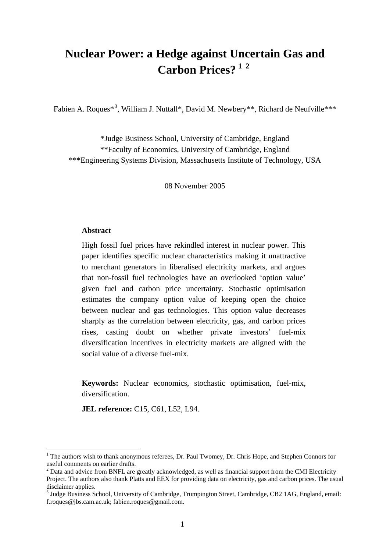# **Nuclear Power: a Hedge against Uncertain Gas and Carbon Prices? [1](#page-1-0) [2](#page-1-1)**

Fabien A. Roques<sup>\*[3](#page-1-2)</sup>, William J. Nuttall\*, David M. Newbery\*\*, Richard de Neufville\*\*\*

\*Judge Business School, University of Cambridge, England \*\*Faculty of Economics, University of Cambridge, England \*\*\*Engineering Systems Division, Massachusetts Institute of Technology, USA

08 November 2005

#### **Abstract**

1

High fossil fuel prices have rekindled interest in nuclear power. This paper identifies specific nuclear characteristics making it unattractive to merchant generators in liberalised electricity markets, and argues that non-fossil fuel technologies have an overlooked 'option value' given fuel and carbon price uncertainty. Stochastic optimisation estimates the company option value of keeping open the choice between nuclear and gas technologies. This option value decreases sharply as the correlation between electricity, gas, and carbon prices rises, casting doubt on whether private investors' fuel-mix diversification incentives in electricity markets are aligned with the social value of a diverse fuel-mix.

**Keywords:** Nuclear economics, stochastic optimisation, fuel-mix, diversification.

**JEL reference:** C15, C61, L52, L94.

<span id="page-1-0"></span><sup>&</sup>lt;sup>1</sup> The authors wish to thank anonymous referees, Dr. Paul Twomey, Dr. Chris Hope, and Stephen Connors for useful comments on earlier drafts.

<span id="page-1-1"></span> $2$  Data and advice from BNFL are greatly acknowledged, as well as financial support from the CMI Electricity Project. The authors also thank Platts and EEX for providing data on electricity, gas and carbon prices. The usual disclaimer applies.

<span id="page-1-2"></span><sup>&</sup>lt;sup>3</sup> Judge Business School, University of Cambridge, Trumpington Street, Cambridge, CB2 1AG, England, email: f.roques@jbs.cam.ac.uk; fabien.roques@gmail.com.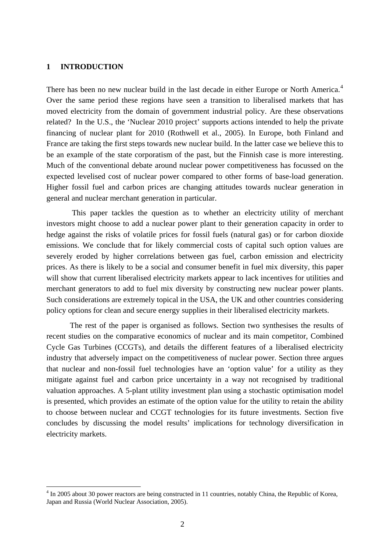#### **1 INTRODUCTION**

<u>.</u>

There has been no new nuclear build in the last decade in either Europe or North America.<sup>[4](#page-2-0)</sup> Over the same period these regions have seen a transition to liberalised markets that has moved electricity from the domain of government industrial policy. Are these observations related? In the U.S., the 'Nuclear 2010 project' supports actions intended to help the private financing of nuclear plant for 2010 (Rothwell et al., 2005). In Europe, both Finland and France are taking the first steps towards new nuclear build. In the latter case we believe this to be an example of the state corporatism of the past, but the Finnish case is more interesting. Much of the conventional debate around nuclear power competitiveness has focussed on the expected levelised cost of nuclear power compared to other forms of base-load generation. Higher fossil fuel and carbon prices are changing attitudes towards nuclear generation in general and nuclear merchant generation in particular.

 This paper tackles the question as to whether an electricity utility of merchant investors might choose to add a nuclear power plant to their generation capacity in order to hedge against the risks of volatile prices for fossil fuels (natural gas) or for carbon dioxide emissions. We conclude that for likely commercial costs of capital such option values are severely eroded by higher correlations between gas fuel, carbon emission and electricity prices. As there is likely to be a social and consumer benefit in fuel mix diversity, this paper will show that current liberalised electricity markets appear to lack incentives for utilities and merchant generators to add to fuel mix diversity by constructing new nuclear power plants. Such considerations are extremely topical in the USA, the UK and other countries considering policy options for clean and secure energy supplies in their liberalised electricity markets.

The rest of the paper is organised as follows. Section two synthesises the results of recent studies on the comparative economics of nuclear and its main competitor, Combined Cycle Gas Turbines (CCGTs), and details the different features of a liberalised electricity industry that adversely impact on the competitiveness of nuclear power. Section three argues that nuclear and non-fossil fuel technologies have an 'option value' for a utility as they mitigate against fuel and carbon price uncertainty in a way not recognised by traditional valuation approaches. A 5-plant utility investment plan using a stochastic optimisation model is presented, which provides an estimate of the option value for the utility to retain the ability to choose between nuclear and CCGT technologies for its future investments. Section five concludes by discussing the model results' implications for technology diversification in electricity markets.

<span id="page-2-0"></span><sup>&</sup>lt;sup>4</sup> In 2005 about 30 power reactors are being constructed in 11 countries, notably China, the Republic of Korea, Japan and Russia (World Nuclear Association, 2005).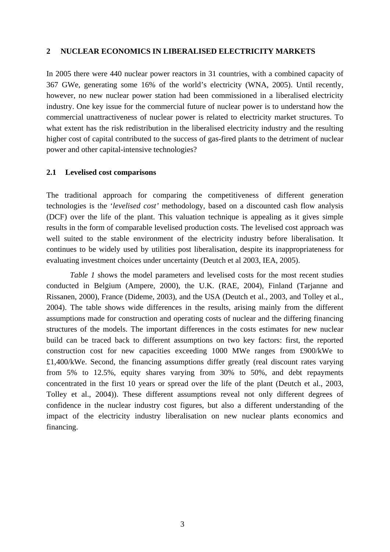#### **2 NUCLEAR ECONOMICS IN LIBERALISED ELECTRICITY MARKETS**

In 2005 there were 440 nuclear power reactors in 31 countries, with a combined capacity of 367 GWe, generating some 16% of the world's electricity (WNA, 2005). Until recently, however, no new nuclear power station had been commissioned in a liberalised electricity industry. One key issue for the commercial future of nuclear power is to understand how the commercial unattractiveness of nuclear power is related to electricity market structures. To what extent has the risk redistribution in the liberalised electricity industry and the resulting higher cost of capital contributed to the success of gas-fired plants to the detriment of nuclear power and other capital-intensive technologies?

#### **2.1 Levelised cost comparisons**

The traditional approach for comparing the competitiveness of different generation technologies is the '*levelised cost'* methodology, based on a discounted cash flow analysis (DCF) over the life of the plant. This valuation technique is appealing as it gives simple results in the form of comparable levelised production costs. The levelised cost approach was well suited to the stable environment of the electricity industry before liberalisation. It continues to be widely used by utilities post liberalisation, despite its inappropriateness for evaluating investment choices under uncertainty (Deutch et al 2003, IEA, 2005).

*Table 1* shows the model parameters and levelised costs for the most recent studies conducted in Belgium (Ampere, 2000), the U.K. (RAE, 2004), Finland (Tarjanne and Rissanen, 2000), France (Dideme, 2003), and the USA (Deutch et al., 2003, and Tolley et al., 2004). The table shows wide differences in the results, arising mainly from the different assumptions made for construction and operating costs of nuclear and the differing financing structures of the models. The important differences in the costs estimates for new nuclear build can be traced back to different assumptions on two key factors: first, the reported construction cost for new capacities exceeding 1000 MWe ranges from £900/kWe to £1,400/kWe. Second, the financing assumptions differ greatly (real discount rates varying from 5% to 12.5%, equity shares varying from 30% to 50%, and debt repayments concentrated in the first 10 years or spread over the life of the plant (Deutch et al., 2003, Tolley et al., 2004)). These different assumptions reveal not only different degrees of confidence in the nuclear industry cost figures, but also a different understanding of the impact of the electricity industry liberalisation on new nuclear plants economics and financing.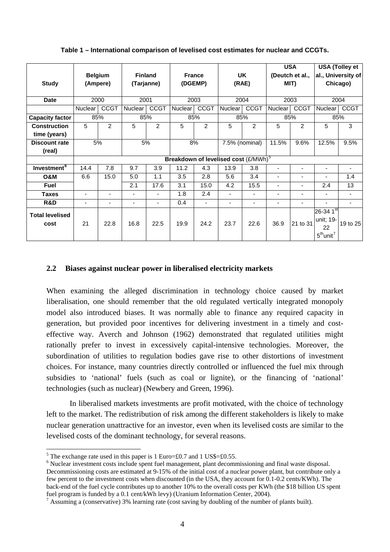| <b>Study</b>                   | <b>Belgium</b><br>(Ampere) |                          | <b>Finland</b><br>(Tarjanne) |                          | <b>France</b><br>(DGEMP)                         |                | <b>UK</b><br>(RAE) |                | <b>USA</b><br>(Deutch et al.,<br>MIT) |                | <b>USA (Tolley et</b><br>al., University of<br>Chicago)                 |             |
|--------------------------------|----------------------------|--------------------------|------------------------------|--------------------------|--------------------------------------------------|----------------|--------------------|----------------|---------------------------------------|----------------|-------------------------------------------------------------------------|-------------|
| <b>Date</b>                    | 2000                       |                          | 2001                         |                          | 2003                                             |                | 2004               |                | 2003                                  |                | 2004                                                                    |             |
|                                | Nuclear                    | <b>CCGT</b>              | Nuclear                      | <b>CCGT</b>              | Nuclear                                          | <b>CCGT</b>    | <b>Nuclear</b>     | <b>CCGT</b>    | Nuclear                               | <b>CCGT</b>    | Nuclear                                                                 | <b>CCGT</b> |
| <b>Capacity factor</b>         | 85%                        |                          | 85%                          |                          | 85%                                              |                | 85%                |                | 85%                                   |                | 85%                                                                     |             |
| <b>Construction</b>            | 5                          | $\overline{2}$           | 5                            | $\overline{2}$           | 5                                                | $\overline{2}$ | 5                  | $\overline{2}$ | 5                                     | $\overline{2}$ | 5                                                                       | 3           |
| time (years)                   |                            |                          |                              |                          |                                                  |                |                    |                |                                       |                |                                                                         |             |
| <b>Discount rate</b>           | 5%                         |                          | 5%                           |                          | 8%                                               |                | 7.5% (nominal)     |                | 11.5%                                 | 9.6%           | 12.5%                                                                   | 9.5%        |
| (real)                         |                            |                          |                              |                          |                                                  |                |                    |                |                                       |                |                                                                         |             |
|                                |                            |                          |                              |                          | Breakdown of levelised cost (£/MWh) <sup>5</sup> |                |                    |                |                                       |                |                                                                         |             |
| Investment <sup>6</sup>        | 14.4                       | 7.8                      | 9.7                          | 3.9                      | 11.2                                             | 4.3            | 13.9               | 3.8            | ٠                                     | ٠              | $\overline{\phantom{a}}$                                                |             |
| <b>O&amp;M</b>                 | 6.6                        | 15.0                     | 5.0                          | 1.1                      | 3.5                                              | 2.8            | 5.6                | 3.4            | -                                     | ٠              | $\overline{\phantom{a}}$                                                | 1.4         |
| <b>Fuel</b>                    |                            |                          | 2.1                          | 17.6                     | 3.1                                              | 15.0           | 4.2                | 15.5           | $\overline{\phantom{a}}$              | ٠              | 2.4                                                                     | 13          |
| <b>Taxes</b>                   | ٠                          | $\overline{\phantom{a}}$ | ٠                            | $\blacksquare$           | 1.8                                              | 2.4            | $\blacksquare$     | $\overline{a}$ | ۰                                     | -              | $\overline{\phantom{a}}$                                                | Ξ.          |
| R&D                            | ۰                          | ٠                        | $\overline{\phantom{0}}$     | $\overline{\phantom{0}}$ | 0.4                                              |                | ۰                  | $\blacksquare$ |                                       | ۰              |                                                                         | Ξ.          |
| <b>Total levelised</b><br>cost | 21                         | 22.8                     | 16.8                         | 22.5                     | 19.9                                             | 24.2           | 23.7               | 22.6           | 36.9                                  | 21 to 31       | $26 - 34$ 1 <sup>st</sup><br>unit; 19-<br>22<br>$5th$ unit <sup>7</sup> | 19 to 25    |

**Table 1 – International comparison of levelised cost estimates for nuclear and CCGTs.** 

### **2.2 Biases against nuclear power in liberalised electricity markets**

When examining the alleged discrimination in technology choice caused by market liberalisation, one should remember that the old regulated vertically integrated monopoly model also introduced biases. It was normally able to finance any required capacity in generation, but provided poor incentives for delivering investment in a timely and costeffective way. Averch and Johnson (1962) demonstrated that regulated utilities might rationally prefer to invest in excessively capital-intensive technologies. Moreover, the subordination of utilities to regulation bodies gave rise to other distortions of investment choices. For instance, many countries directly controlled or influenced the fuel mix through subsidies to 'national' fuels (such as coal or lignite), or the financing of 'national' technologies (such as nuclear) (Newbery and Green, 1996).

In liberalised markets investments are profit motivated, with the choice of technology left to the market. The redistribution of risk among the different stakeholders is likely to make nuclear generation unattractive for an investor, even when its levelised costs are similar to the levelised costs of the dominant technology, for several reasons.

<sup>&</sup>lt;sup>5</sup> The exchange rate used in this paper is 1 Euro=£0.7 and 1 US\$= $\pm$ 0.55.<br><sup>6</sup> Nuclear investment costs include sport fuel management, plant decomp

<span id="page-4-1"></span><span id="page-4-0"></span><sup>&</sup>lt;sup>6</sup> Nuclear investment costs include spent fuel management, plant decommissioning and final waste disposal. Decommissioning costs are estimated at 9-15% of the initial cost of a nuclear power plant, but contribute only a few percent to the investment costs when discounted (in the USA, they account for 0.1-0.2 cents/KWh). The back-end of the fuel cycle contributes up to another 10% to the overall costs per KWh (the \$18 billion US spent fuel program is funded by a 0.1 cent/kWh levy) (Uranium Information Center, 2004).

<span id="page-4-2"></span> $<sup>7</sup>$  Assuming a (conservative) 3% learning rate (cost saving by doubling of the number of plants built).</sup>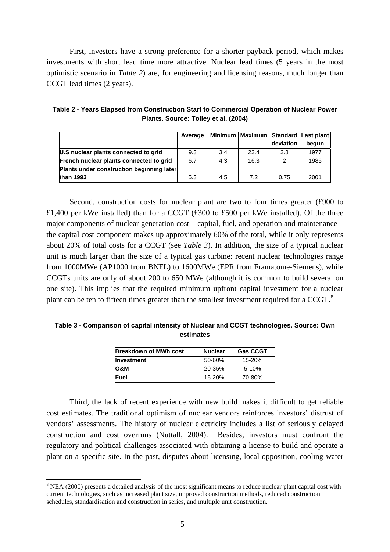First, investors have a strong preference for a shorter payback period, which makes investments with short lead time more attractive. Nuclear lead times (5 years in the most optimistic scenario in *Table 2*) are, for engineering and licensing reasons, much longer than CCGT lead times (2 years).

|                                           | Average |     | Minimum   Maximum   Standard   Last plant |           |       |
|-------------------------------------------|---------|-----|-------------------------------------------|-----------|-------|
|                                           |         |     |                                           | deviation | begun |
| U.S nuclear plants connected to grid      | 9.3     | 3.4 | 23.4                                      | 3.8       | 1977  |
| French nuclear plants connected to grid   | 6.7     | 4.3 | 16.3                                      | 2         | 1985  |
| Plants under construction beginning later |         |     |                                           |           |       |
| than 1993                                 | 5.3     | 4.5 | 7.2                                       | 0.75      | 2001  |

**Table 2 - Years Elapsed from Construction Start to Commercial Operation of Nuclear Power Plants. Source: Tolley et al. (2004)** 

Second, construction costs for nuclear plant are two to four times greater (£900 to £1,400 per kWe installed) than for a CCGT (£300 to £500 per kWe installed). Of the three major components of nuclear generation cost – capital, fuel, and operation and maintenance – the capital cost component makes up approximately 60% of the total, while it only represents about 20% of total costs for a CCGT (see *Table 3*). In addition, the size of a typical nuclear unit is much larger than the size of a typical gas turbine: recent nuclear technologies range from 1000MWe (AP1000 from BNFL) to 1600MWe (EPR from Framatome-Siemens), while CCGTs units are only of about 200 to 650 MWe (although it is common to build several on one site). This implies that the required minimum upfront capital investment for a nuclear plant can be ten to fifteen times greater than the smallest investment required for a CCGT.<sup>[8](#page-5-0)</sup>

**Table 3 - Comparison of capital intensity of Nuclear and CCGT technologies. Source: Own estimates** 

| Breakdown of MWh cost | <b>Nuclear</b> | <b>Gas CCGT</b> |
|-----------------------|----------------|-----------------|
| Investment            | 50-60%         | $15 - 20%$      |
| O&M                   | 20-35%         | $5 - 10%$       |
| Fuel                  | 15-20%         | 70-80%          |
|                       |                |                 |

Third, the lack of recent experience with new build makes it difficult to get reliable cost estimates. The traditional optimism of nuclear vendors reinforces investors' distrust of vendors' assessments. The history of nuclear electricity includes a list of seriously delayed construction and cost overruns (Nuttall, 2004). Besides, investors must confront the regulatory and political challenges associated with obtaining a license to build and operate a plant on a specific site. In the past, disputes about licensing, local opposition, cooling water

<span id="page-5-0"></span> $8$  NEA (2000) presents a detailed analysis of the most significant means to reduce nuclear plant capital cost with current technologies, such as increased plant size, improved construction methods, reduced construction schedules, standardisation and construction in series, and multiple unit construction.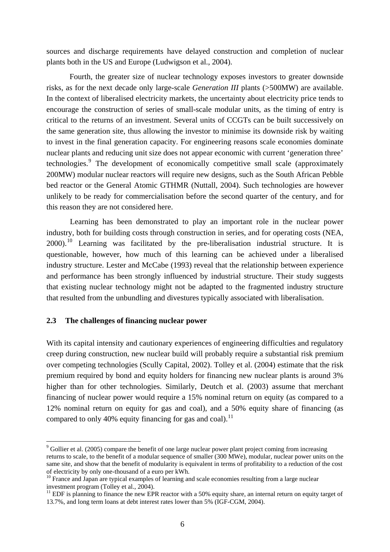sources and discharge requirements have delayed construction and completion of nuclear plants both in the US and Europe (Ludwigson et al., 2004).

 Fourth, the greater size of nuclear technology exposes investors to greater downside risks, as for the next decade only large-scale *Generation III* plants (>500MW) are available. In the context of liberalised electricity markets, the uncertainty about electricity price tends to encourage the construction of series of small-scale modular units, as the timing of entry is critical to the returns of an investment. Several units of CCGTs can be built successively on the same generation site, thus allowing the investor to minimise its downside risk by waiting to invest in the final generation capacity. For engineering reasons scale economies dominate nuclear plants and reducing unit size does not appear economic with current 'generation three' technologies.<sup>[9](#page-6-0)</sup> The development of economically competitive small scale (approximately 200MW) modular nuclear reactors will require new designs, such as the South African Pebble bed reactor or the General Atomic GTHMR (Nuttall, 2004). Such technologies are however unlikely to be ready for commercialisation before the second quarter of the century, and for this reason they are not considered here.

Learning has been demonstrated to play an important role in the nuclear power industry, both for building costs through construction in series, and for operating costs (NEA, 2000).<sup>[10](#page-6-1)</sup> Learning was facilitated by the pre-liberalisation industrial structure. It is questionable, however, how much of this learning can be achieved under a liberalised industry structure. Lester and McCabe (1993) reveal that the relationship between experience and performance has been strongly influenced by industrial structure. Their study suggests that existing nuclear technology might not be adapted to the fragmented industry structure that resulted from the unbundling and divestures typically associated with liberalisation.

# **2.3 The challenges of financing nuclear power**

<u>.</u>

With its capital intensity and cautionary experiences of engineering difficulties and regulatory creep during construction, new nuclear build will probably require a substantial risk premium over competing technologies (Scully Capital, 2002). Tolley et al. (2004) estimate that the risk premium required by bond and equity holders for financing new nuclear plants is around 3% higher than for other technologies. Similarly, Deutch et al. (2003) assume that merchant financing of nuclear power would require a 15% nominal return on equity (as compared to a 12% nominal return on equity for gas and coal), and a 50% equity share of financing (as compared to only 40% equity financing for gas and coal).<sup>[11](#page-6-2)</sup>

<span id="page-6-0"></span> $9^9$  Gollier et al. (2005) compare the benefit of one large nuclear power plant project coming from increasing returns to scale, to the benefit of a modular sequence of smaller (300 MWe), modular, nuclear power units on the same site, and show that the benefit of modularity is equivalent in terms of profitability to a reduction of the cost of electricity by only one-thousand of a euro per kWh.

<span id="page-6-1"></span><sup>&</sup>lt;sup>10</sup> France and Japan are typical examples of learning and scale economies resulting from a large nuclear investment program (Tolley et al., 2004).

<span id="page-6-2"></span> $11$  EDF is planning to finance the new EPR reactor with a 50% equity share, an internal return on equity target of 13.7%, and long term loans at debt interest rates lower than 5% (IGF-CGM, 2004).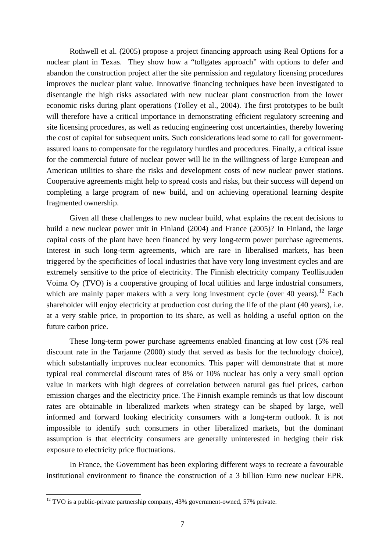Rothwell et al. (2005) propose a project financing approach using Real Options for a nuclear plant in Texas. They show how a "tollgates approach" with options to defer and abandon the construction project after the site permission and regulatory licensing procedures improves the nuclear plant value. Innovative financing techniques have been investigated to disentangle the high risks associated with new nuclear plant construction from the lower economic risks during plant operations (Tolley et al., 2004). The first prototypes to be built will therefore have a critical importance in demonstrating efficient regulatory screening and site licensing procedures, as well as reducing engineering cost uncertainties, thereby lowering the cost of capital for subsequent units. Such considerations lead some to call for governmentassured loans to compensate for the regulatory hurdles and procedures. Finally, a critical issue for the commercial future of nuclear power will lie in the willingness of large European and American utilities to share the risks and development costs of new nuclear power stations. Cooperative agreements might help to spread costs and risks, but their success will depend on completing a large program of new build, and on achieving operational learning despite fragmented ownership.

Given all these challenges to new nuclear build, what explains the recent decisions to build a new nuclear power unit in Finland (2004) and France (2005)? In Finland, the large capital costs of the plant have been financed by very long-term power purchase agreements. Interest in such long-term agreements, which are rare in liberalised markets, has been triggered by the specificities of local industries that have very long investment cycles and are extremely sensitive to the price of electricity. The Finnish electricity company Teollisuuden Voima Oy (TVO) is a cooperative grouping of local utilities and large industrial consumers, which are mainly paper makers with a very long investment cycle (over 40 years).<sup>[12](#page-7-0)</sup> Each shareholder will enjoy electricity at production cost during the life of the plant (40 years), i.e. at a very stable price, in proportion to its share, as well as holding a useful option on the future carbon price.

These long-term power purchase agreements enabled financing at low cost (5% real discount rate in the Tarjanne (2000) study that served as basis for the technology choice), which substantially improves nuclear economics. This paper will demonstrate that at more typical real commercial discount rates of 8% or 10% nuclear has only a very small option value in markets with high degrees of correlation between natural gas fuel prices, carbon emission charges and the electricity price. The Finnish example reminds us that low discount rates are obtainable in liberalized markets when strategy can be shaped by large, well informed and forward looking electricity consumers with a long-term outlook. It is not impossible to identify such consumers in other liberalized markets, but the dominant assumption is that electricity consumers are generally uninterested in hedging their risk exposure to electricity price fluctuations.

In France, the Government has been exploring different ways to recreate a favourable institutional environment to finance the construction of a 3 billion Euro new nuclear EPR.

<span id="page-7-0"></span> $12$  TVO is a public-private partnership company, 43% government-owned, 57% private.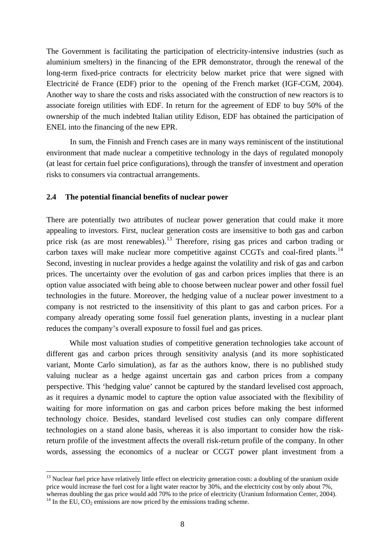The Government is facilitating the participation of electricity-intensive industries (such as aluminium smelters) in the financing of the EPR demonstrator, through the renewal of the long-term fixed-price contracts for electricity below market price that were signed with Electricité de France (EDF) prior to the opening of the French market (IGF-CGM, 2004). Another way to share the costs and risks associated with the construction of new reactors is to associate foreign utilities with EDF. In return for the agreement of EDF to buy 50% of the ownership of the much indebted Italian utility Edison, EDF has obtained the participation of ENEL into the financing of the new EPR.

In sum, the Finnish and French cases are in many ways reminiscent of the institutional environment that made nuclear a competitive technology in the days of regulated monopoly (at least for certain fuel price configurations), through the transfer of investment and operation risks to consumers via contractual arrangements.

#### **2.4 The potential financial benefits of nuclear power**

There are potentially two attributes of nuclear power generation that could make it more appealing to investors. First, nuclear generation costs are insensitive to both gas and carbon price risk (as are most renewables).<sup>[13](#page-8-0)</sup> Therefore, rising gas prices and carbon trading or carbon taxes will make nuclear more competitive against CCGTs and coal-fired plants.<sup>[14](#page-8-1)</sup> Second, investing in nuclear provides a hedge against the volatility and risk of gas and carbon prices. The uncertainty over the evolution of gas and carbon prices implies that there is an option value associated with being able to choose between nuclear power and other fossil fuel technologies in the future. Moreover, the hedging value of a nuclear power investment to a company is not restricted to the insensitivity of this plant to gas and carbon prices. For a company already operating some fossil fuel generation plants, investing in a nuclear plant reduces the company's overall exposure to fossil fuel and gas prices.

While most valuation studies of competitive generation technologies take account of different gas and carbon prices through sensitivity analysis (and its more sophisticated variant, Monte Carlo simulation), as far as the authors know, there is no published study valuing nuclear as a hedge against uncertain gas and carbon prices from a company perspective. This 'hedging value' cannot be captured by the standard levelised cost approach, as it requires a dynamic model to capture the option value associated with the flexibility of waiting for more information on gas and carbon prices before making the best informed technology choice. Besides, standard levelised cost studies can only compare different technologies on a stand alone basis, whereas it is also important to consider how the riskreturn profile of the investment affects the overall risk-return profile of the company. In other words, assessing the economics of a nuclear or CCGT power plant investment from a

<span id="page-8-0"></span> $13$  Nuclear fuel price have relatively little effect on electricity generation costs: a doubling of the uranium oxide price would increase the fuel cost for a light water reactor by 30%, and the electricity cost by only about 7%, whereas doubling the gas price would add 70% to the price of electricity (Uranium Information Center, 2004).

<span id="page-8-1"></span><sup>&</sup>lt;sup>14</sup> In the EU,  $CO_2$  emissions are now priced by the emissions trading scheme.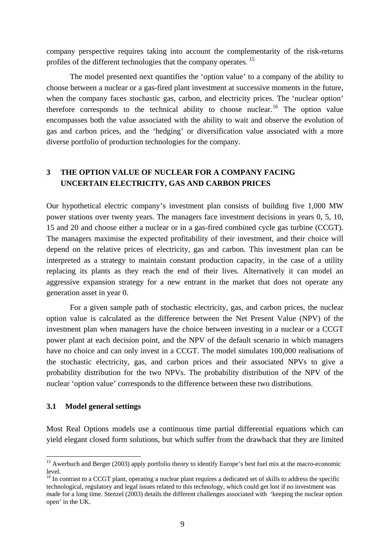company perspective requires taking into account the complementarity of the risk-returns profiles of the different technologies that the company operates. [15](#page-9-0)

The model presented next quantifies the 'option value' to a company of the ability to choose between a nuclear or a gas-fired plant investment at successive moments in the future, when the company faces stochastic gas, carbon, and electricity prices. The 'nuclear option' therefore corresponds to the technical ability to choose nuclear.<sup>[16](#page-9-1)</sup> The option value encompasses both the value associated with the ability to wait and observe the evolution of gas and carbon prices, and the 'hedging' or diversification value associated with a more diverse portfolio of production technologies for the company.

# **3 THE OPTION VALUE OF NUCLEAR FOR A COMPANY FACING UNCERTAIN ELECTRICITY, GAS AND CARBON PRICES**

Our hypothetical electric company's investment plan consists of building five 1,000 MW power stations over twenty years. The managers face investment decisions in years 0, 5, 10, 15 and 20 and choose either a nuclear or in a gas-fired combined cycle gas turbine (CCGT). The managers maximise the expected profitability of their investment, and their choice will depend on the relative prices of electricity, gas and carbon. This investment plan can be interpreted as a strategy to maintain constant production capacity, in the case of a utility replacing its plants as they reach the end of their lives. Alternatively it can model an aggressive expansion strategy for a new entrant in the market that does not operate any generation asset in year 0.

For a given sample path of stochastic electricity, gas, and carbon prices, the nuclear option value is calculated as the difference between the Net Present Value (NPV) of the investment plan when managers have the choice between investing in a nuclear or a CCGT power plant at each decision point, and the NPV of the default scenario in which managers have no choice and can only invest in a CCGT. The model simulates 100,000 realisations of the stochastic electricity, gas, and carbon prices and their associated NPVs to give a probability distribution for the two NPVs. The probability distribution of the NPV of the nuclear 'option value' corresponds to the difference between these two distributions.

### **3.1 Model general settings**

1

Most Real Options models use a continuous time partial differential equations which can yield elegant closed form solutions, but which suffer from the drawback that they are limited

<span id="page-9-0"></span><sup>&</sup>lt;sup>15</sup> Awerbuch and Berger (2003) apply portfolio theory to identify Europe's best fuel mix at the macro-economic level.

<span id="page-9-1"></span><sup>&</sup>lt;sup>16</sup> In contrast to a CCGT plant, operating a nuclear plant requires a dedicated set of skills to address the specific technological, regulatory and legal issues related to this technology, which could get lost if no investment was made for a long time. Stenzel (2003) details the different challenges associated with 'keeping the nuclear option open' in the UK.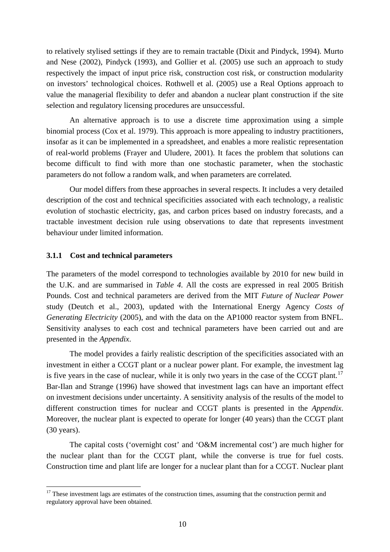to relatively stylised settings if they are to remain tractable (Dixit and Pindyck, 1994). Murto and Nese (2002), Pindyck (1993), and Gollier et al. (2005) use such an approach to study respectively the impact of input price risk, construction cost risk, or construction modularity on investors' technological choices. Rothwell et al. (2005) use a Real Options approach to value the managerial flexibility to defer and abandon a nuclear plant construction if the site selection and regulatory licensing procedures are unsuccessful.

An alternative approach is to use a discrete time approximation using a simple binomial process (Cox et al. 1979). This approach is more appealing to industry practitioners, insofar as it can be implemented in a spreadsheet, and enables a more realistic representation of real-world problems (Frayer and Uludere, 2001). It faces the problem that solutions can become difficult to find with more than one stochastic parameter, when the stochastic parameters do not follow a random walk, and when parameters are correlated.

Our model differs from these approaches in several respects. It includes a very detailed description of the cost and technical specificities associated with each technology, a realistic evolution of stochastic electricity, gas, and carbon prices based on industry forecasts, and a tractable investment decision rule using observations to date that represents investment behaviour under limited information.

#### **3.1.1 Cost and technical parameters**

<u>.</u>

The parameters of the model correspond to technologies available by 2010 for new build in the U.K. and are summarised in *Table 4*. All the costs are expressed in real 2005 British Pounds. Cost and technical parameters are derived from the MIT *Future of Nuclear Power*  study (Deutch et al., 2003), updated with the International Energy Agency *Costs of Generating Electricity* (2005), and with the data on the AP1000 reactor system from BNFL. Sensitivity analyses to each cost and technical parameters have been carried out and are presented in the *Appendix*.

The model provides a fairly realistic description of the specificities associated with an investment in either a CCGT plant or a nuclear power plant. For example, the investment lag is five years in the case of nuclear, while it is only two years in the case of the CCGT plant.<sup>[17](#page-10-0)</sup> Bar-Ilan and Strange (1996) have showed that investment lags can have an important effect on investment decisions under uncertainty. A sensitivity analysis of the results of the model to different construction times for nuclear and CCGT plants is presented in the *Appendix*. Moreover, the nuclear plant is expected to operate for longer (40 years) than the CCGT plant (30 years).

The capital costs ('overnight cost' and 'O&M incremental cost') are much higher for the nuclear plant than for the CCGT plant, while the converse is true for fuel costs. Construction time and plant life are longer for a nuclear plant than for a CCGT. Nuclear plant

<span id="page-10-0"></span> $17$  These investment lags are estimates of the construction times, assuming that the construction permit and regulatory approval have been obtained.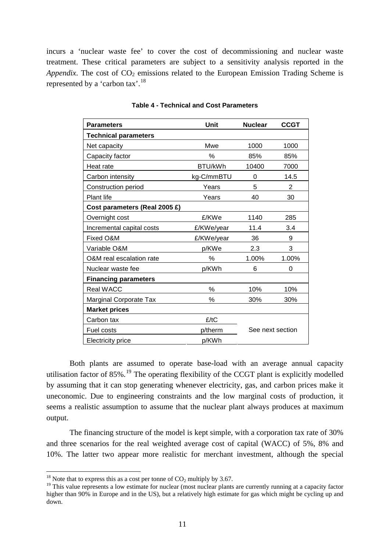incurs a 'nuclear waste fee' to cover the cost of decommissioning and nuclear waste treatment. These critical parameters are subject to a sensitivity analysis reported in the *Appendix*. The cost of  $CO_2$  emissions related to the European Emission Trading Scheme is represented by a 'carbon tax'.[18](#page-11-0)

| <b>Parameters</b>             | Unit       | <b>Nuclear</b>   | <b>CCGT</b> |  |
|-------------------------------|------------|------------------|-------------|--|
| <b>Technical parameters</b>   |            |                  |             |  |
| Net capacity                  | Mwe        | 1000             | 1000        |  |
| Capacity factor               | %          | 85%              | 85%         |  |
| Heat rate                     | BTU/kWh    | 10400            | 7000        |  |
| Carbon intensity              | kg-C/mmBTU | 0                | 14.5        |  |
| Construction period           | Years      | 5                | 2           |  |
| Plant life                    | Years      | 40               | 30          |  |
| Cost parameters (Real 2005 £) |            |                  |             |  |
| Overnight cost                | £/KWe      | 1140             | 285         |  |
| Incremental capital costs     | £/KWe/year | 11.4             | 3.4         |  |
| Fixed O&M                     | £/KWe/year | 36               | 9           |  |
| Variable O&M                  | p/KWe      | 2.3              | 3           |  |
| O&M real escalation rate      | %          | 1.00%            | 1.00%       |  |
| Nuclear waste fee             | p/KWh      | 6                | 0           |  |
| <b>Financing parameters</b>   |            |                  |             |  |
| <b>Real WACC</b>              | %          | 10%              | 10%         |  |
| Marginal Corporate Tax        | %          | 30%              | 30%         |  |
| <b>Market prices</b>          |            |                  |             |  |
| Carbon tax                    | £/tC       |                  |             |  |
| Fuel costs                    | p/therm    | See next section |             |  |
| <b>Electricity price</b>      | p/KWh      |                  |             |  |

**Table 4 - Technical and Cost Parameters** 

Both plants are assumed to operate base-load with an average annual capacity utilisation factor of  $85\%$ .<sup>[19](#page-11-1)</sup> The operating flexibility of the CCGT plant is explicitly modelled by assuming that it can stop generating whenever electricity, gas, and carbon prices make it uneconomic. Due to engineering constraints and the low marginal costs of production, it seems a realistic assumption to assume that the nuclear plant always produces at maximum output.

The financing structure of the model is kept simple, with a corporation tax rate of 30% and three scenarios for the real weighted average cost of capital (WACC) of 5%, 8% and 10%. The latter two appear more realistic for merchant investment, although the special

<span id="page-11-0"></span><sup>&</sup>lt;sup>18</sup> Note that to express this as a cost per tonne of  $CO<sub>2</sub>$  multiply by 3.67.

<span id="page-11-1"></span><sup>&</sup>lt;sup>19</sup> This value represents a low estimate for nuclear (most nuclear plants are currently running at a capacity factor higher than 90% in Europe and in the US), but a relatively high estimate for gas which might be cycling up and down.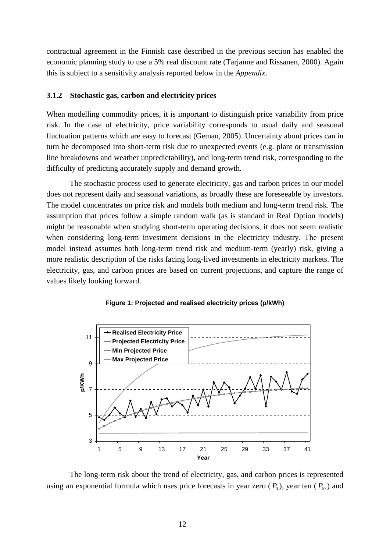contractual agreement in the Finnish case described in the previous section has enabled the economic planning study to use a 5% real discount rate (Tarjanne and Rissanen, 2000). Again this is subject to a sensitivity analysis reported below in the *Appendix*.

# **3.1.2 Stochastic gas, carbon and electricity prices**

When modelling commodity prices, it is important to distinguish price variability from price risk. In the case of electricity, price variability corresponds to usual daily and seasonal fluctuation patterns which are easy to forecast (Geman, 2005). Uncertainty about prices can in turn be decomposed into short-term risk due to unexpected events (e.g. plant or transmission line breakdowns and weather unpredictability), and long-term trend risk, corresponding to the difficulty of predicting accurately supply and demand growth.

The stochastic process used to generate electricity, gas and carbon prices in our model does not represent daily and seasonal variations, as broadly these are foreseeable by investors. The model concentrates on price risk and models both medium and long-term trend risk. The assumption that prices follow a simple random walk (as is standard in Real Option models) might be reasonable when studying short-term operating decisions, it does not seem realistic when considering long-term investment decisions in the electricity industry. The present model instead assumes both long-term trend risk and medium-term (yearly) risk, giving a more realistic description of the risks facing long-lived investments in electricity markets. The electricity, gas, and carbon prices are based on current projections, and capture the range of values likely looking forward.



**Figure 1: Projected and realised electricity prices (p/kWh)** 



The long-term risk about the trend of electricity, gas, and carbon prices is represented using an exponential formula which uses price forecasts in year zero  $(P_0)$ , year ten  $(P_{10})$  and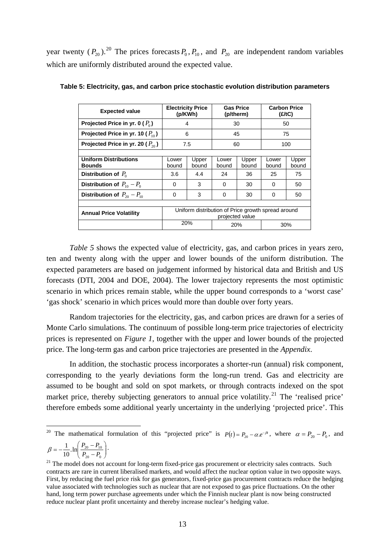year twenty  $(P_{20})$  $(P_{20})$  $(P_{20})$ .<sup>20</sup> The prices forecasts  $P_0$ ,  $P_{10}$ , and  $P_{20}$  are independent random variables which are uniformly distributed around the expected value.

| <b>Expected value</b>                         | <b>Electricity Price</b><br>(p/KWh) |                | <b>Gas Price</b><br>(p/therm) |                | <b>Carbon Price</b><br>(E/1C)                      |                |  |  |
|-----------------------------------------------|-------------------------------------|----------------|-------------------------------|----------------|----------------------------------------------------|----------------|--|--|
| Projected Price in yr. 0 ( $P_0$ )            | 4                                   |                | 30                            |                | 50                                                 |                |  |  |
| Projected Price in yr. 10 ( $P_{10}$ )        | 6                                   |                | 45                            |                | 75                                                 |                |  |  |
| Projected Price in yr. 20 ( $P_{20}$ )        | 7.5                                 |                | 60                            |                | 100                                                |                |  |  |
|                                               |                                     |                |                               |                |                                                    |                |  |  |
| <b>Uniform Distributions</b><br><b>Bounds</b> | Lower<br>bound                      | Upper<br>bound | Lower<br>bound                | Upper<br>bound | Lower<br>bound                                     | Upper<br>bound |  |  |
| Distribution of $P_0$                         | 3.6                                 | 4.4            | 24                            | 36             | 25                                                 | 75             |  |  |
| Distribution of $P_{10} - P_0$                | $\Omega$                            | 3              | $\Omega$                      | 30             | 0                                                  | 50             |  |  |
| Distribution of $P_{20} - P_{10}$             | 0                                   | 3              | 0                             | 30             | 0                                                  | 50             |  |  |
|                                               |                                     |                |                               |                |                                                    |                |  |  |
| <b>Annual Price Volatility</b>                |                                     |                | projected value               |                | Uniform distribution of Price growth spread around |                |  |  |
|                                               |                                     | 20%            | 20%                           |                | 30%                                                |                |  |  |

**Table 5: Electricity, gas, and carbon price stochastic evolution distribution parameters** 

*Table 5* shows the expected value of electricity, gas, and carbon prices in years zero, ten and twenty along with the upper and lower bounds of the uniform distribution. The expected parameters are based on judgement informed by historical data and British and US forecasts (DTI, 2004 and DOE, 2004). The lower trajectory represents the most optimistic scenario in which prices remain stable, while the upper bound corresponds to a 'worst case' 'gas shock' scenario in which prices would more than double over forty years.

Random trajectories for the electricity, gas, and carbon prices are drawn for a series of Monte Carlo simulations. The continuum of possible long-term price trajectories of electricity prices is represented on *Figure 1*, together with the upper and lower bounds of the projected price. The long-term gas and carbon price trajectories are presented in the *Appendix*.

In addition, the stochastic process incorporates a shorter-run (annual) risk component, corresponding to the yearly deviations form the long-run trend. Gas and electricity are assumed to be bought and sold on spot markets, or through contracts indexed on the spot market price, thereby subjecting generators to annual price volatility.<sup>[21](#page-13-1)</sup> The 'realised price' therefore embeds some additional yearly uncertainty in the underlying 'projected price'. This

$$
\beta = -\frac{1}{10} \cdot \ln \left( \frac{F_{20} - F_{10}}{P_{20} - P_0} \right) \cdot
$$

<u>.</u>

<span id="page-13-0"></span><sup>&</sup>lt;sup>20</sup> The mathematical formulation of this "projected price" is  $P(t) = P_{20} - \alpha e^{-\beta t}$ , where  $\alpha = P_{20} - P_0$ , and  $\beta = -\frac{1}{10} \ln \left( \frac{P_{20} - P_{10}}{P_{20}} \right).$ 

<span id="page-13-1"></span><sup>&</sup>lt;sup>21</sup> The model does not account for long-term fixed-price gas procurement or electricity sales contracts. Such contracts are rare in current liberalised markets, and would affect the nuclear option value in two opposite ways. First, by reducing the fuel price risk for gas generators, fixed-price gas procurement contracts reduce the hedging value associated with technologies such as nuclear that are not exposed to gas price fluctuations. On the other hand, long term power purchase agreements under which the Finnish nuclear plant is now being constructed reduce nuclear plant profit uncertainty and thereby increase nuclear's hedging value.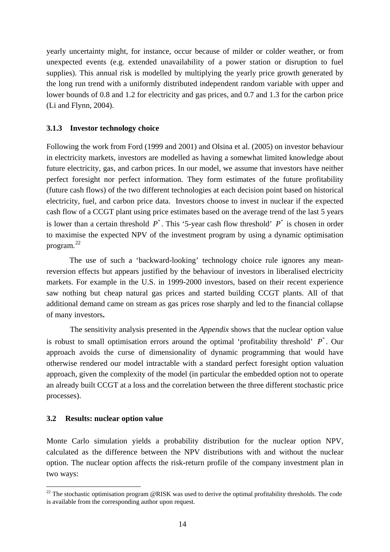yearly uncertainty might, for instance, occur because of milder or colder weather, or from unexpected events (e.g. extended unavailability of a power station or disruption to fuel supplies). This annual risk is modelled by multiplying the yearly price growth generated by the long run trend with a uniformly distributed independent random variable with upper and lower bounds of 0.8 and 1.2 for electricity and gas prices, and 0.7 and 1.3 for the carbon price (Li and Flynn, 2004).

# **3.1.3 Investor technology choice**

Following the work from Ford (1999 and 2001) and Olsina et al. (2005) on investor behaviour in electricity markets, investors are modelled as having a somewhat limited knowledge about future electricity, gas, and carbon prices. In our model, we assume that investors have neither perfect foresight nor perfect information. They form estimates of the future profitability (future cash flows) of the two different technologies at each decision point based on historical electricity, fuel, and carbon price data. Investors choose to invest in nuclear if the expected cash flow of a CCGT plant using price estimates based on the average trend of the last 5 years is lower than a certain threshold  $P^*$ . This '5-year cash flow threshold'  $P^*$  is chosen in order to maximise the expected NPV of the investment program by using a dynamic optimisation program. [22](#page-14-0)

The use of such a 'backward-looking' technology choice rule ignores any meanreversion effects but appears justified by the behaviour of investors in liberalised electricity markets. For example in the U.S. in 1999-2000 investors, based on their recent experience saw nothing but cheap natural gas prices and started building CCGT plants. All of that additional demand came on stream as gas prices rose sharply and led to the financial collapse of many investors**.**

The sensitivity analysis presented in the *Appendix* shows that the nuclear option value is robust to small optimisation errors around the optimal 'profitability threshold'  $P^*$ . Our approach avoids the curse of dimensionality of dynamic programming that would have otherwise rendered our model intractable with a standard perfect foresight option valuation approach, given the complexity of the model (in particular the embedded option not to operate an already built CCGT at a loss and the correlation between the three different stochastic price processes).

# **3.2 Results: nuclear option value**

Monte Carlo simulation yields a probability distribution for the nuclear option NPV, calculated as the difference between the NPV distributions with and without the nuclear option. The nuclear option affects the risk-return profile of the company investment plan in two ways:

<span id="page-14-0"></span><sup>&</sup>lt;u>.</u>  $^{22}$  The stochastic optimisation program @RISK was used to derive the optimal profitability thresholds. The code is available from the corresponding author upon request.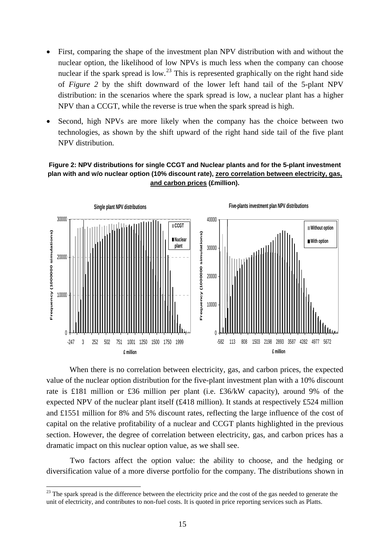- First, comparing the shape of the investment plan NPV distribution with and without the nuclear option, the likelihood of low NPVs is much less when the company can choose nuclear if the spark spread is low.<sup>[23](#page-15-0)</sup> This is represented graphically on the right hand side of *Figure 2* by the shift downward of the lower left hand tail of the 5-plant NPV distribution: in the scenarios where the spark spread is low, a nuclear plant has a higher NPV than a CCGT, while the reverse is true when the spark spread is high.
- Second, high NPVs are more likely when the company has the choice between two technologies, as shown by the shift upward of the right hand side tail of the five plant NPV distribution.

# **Figure 2: NPV distributions for single CCGT and Nuclear plants and for the 5-plant investment plan with and w/o nuclear option (10% discount rate), zero correlation between electricity, gas, and carbon prices (£million).**



When there is no correlation between electricity, gas, and carbon prices, the expected value of the nuclear option distribution for the five-plant investment plan with a 10% discount rate is £181 million or £36 million per plant (i.e. £36/kW capacity), around 9% of the expected NPV of the nuclear plant itself (£418 million). It stands at respectively £524 million and £1551 million for 8% and 5% discount rates, reflecting the large influence of the cost of capital on the relative profitability of a nuclear and CCGT plants highlighted in the previous section. However, the degree of correlation between electricity, gas, and carbon prices has a dramatic impact on this nuclear option value, as we shall see.

Two factors affect the option value: the ability to choose, and the hedging or diversification value of a more diverse portfolio for the company. The distributions shown in

<u>.</u>

<span id="page-15-0"></span><sup>&</sup>lt;sup>23</sup> The spark spread is the difference between the electricity price and the cost of the gas needed to generate the unit of electricity, and contributes to non-fuel costs. It is quoted in price reporting services such as Platts.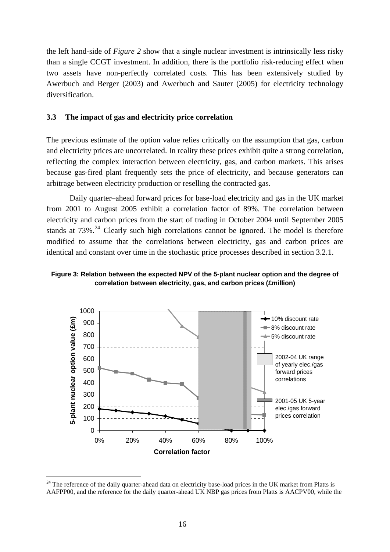the left hand-side of *Figure 2* show that a single nuclear investment is intrinsically less risky than a single CCGT investment. In addition, there is the portfolio risk-reducing effect when two assets have non-perfectly correlated costs. This has been extensively studied by Awerbuch and Berger (2003) and Awerbuch and Sauter (2005) for electricity technology diversification.

### **3.3 The impact of gas and electricity price correlation**

The previous estimate of the option value relies critically on the assumption that gas, carbon and electricity prices are uncorrelated. In reality these prices exhibit quite a strong correlation, reflecting the complex interaction between electricity, gas, and carbon markets. This arises because gas-fired plant frequently sets the price of electricity, and because generators can arbitrage between electricity production or reselling the contracted gas.

Daily quarter–ahead forward prices for base-load electricity and gas in the UK market from 2001 to August 2005 exhibit a correlation factor of 89%. The correlation between electricity and carbon prices from the start of trading in October 2004 until September 2005 stands at  $73\%$ <sup>[24](#page-16-0)</sup> Clearly such high correlations cannot be ignored. The model is therefore modified to assume that the correlations between electricity, gas and carbon prices are identical and constant over time in the stochastic price processes described in section 3.2.1.

#### **Figure 3: Relation between the expected NPV of the 5-plant nuclear option and the degree of correlation between electricity, gas, and carbon prices (£million)**



<span id="page-16-0"></span> $24$  The reference of the daily quarter-ahead data on electricity base-load prices in the UK market from Platts is AAFPP00, and the reference for the daily quarter-ahead UK NBP gas prices from Platts is AACPV00, while the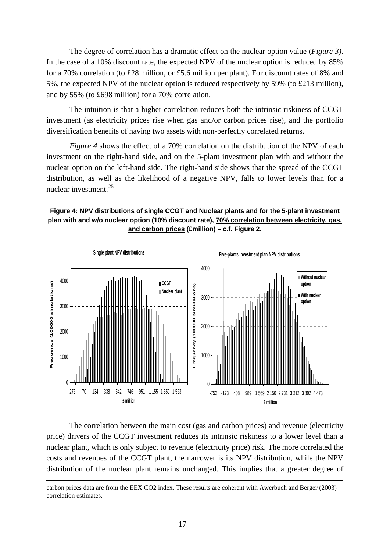The degree of correlation has a dramatic effect on the nuclear option value (*Figure 3)*. In the case of a 10% discount rate, the expected NPV of the nuclear option is reduced by 85% for a 70% correlation (to £28 million, or £5.6 million per plant). For discount rates of 8% and 5%, the expected NPV of the nuclear option is reduced respectively by 59% (to £213 million), and by 55% (to £698 million) for a 70% correlation.

The intuition is that a higher correlation reduces both the intrinsic riskiness of CCGT investment (as electricity prices rise when gas and/or carbon prices rise), and the portfolio diversification benefits of having two assets with non-perfectly correlated returns.

*Figure 4* shows the effect of a 70% correlation on the distribution of the NPV of each investment on the right-hand side, and on the 5-plant investment plan with and without the nuclear option on the left-hand side. The right-hand side shows that the spread of the CCGT distribution, as well as the likelihood of a negative NPV, falls to lower levels than for a nuclear investment.[25](#page-17-0)

# **Figure 4: NPV distributions of single CCGT and Nuclear plants and for the 5-plant investment plan with and w/o nuclear option (10% discount rate), 70% correlation between electricity, gas, and carbon prices (£million) – c.f. Figure 2.**



The correlation between the main cost (gas and carbon prices) and revenue (electricity price) drivers of the CCGT investment reduces its intrinsic riskiness to a lower level than a nuclear plant, which is only subject to revenue (electricity price) risk. The more correlated the costs and revenues of the CCGT plant, the narrower is its NPV distribution, while the NPV distribution of the nuclear plant remains unchanged. This implies that a greater degree of

<span id="page-17-0"></span>carbon prices data are from the EEX CO2 index. These results are coherent with Awerbuch and Berger (2003) correlation estimates.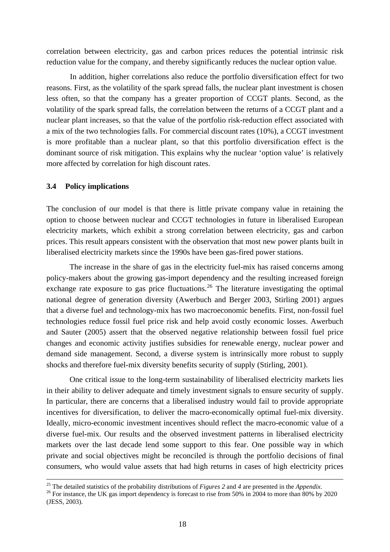correlation between electricity, gas and carbon prices reduces the potential intrinsic risk reduction value for the company, and thereby significantly reduces the nuclear option value.

In addition, higher correlations also reduce the portfolio diversification effect for two reasons. First, as the volatility of the spark spread falls, the nuclear plant investment is chosen less often, so that the company has a greater proportion of CCGT plants. Second, as the volatility of the spark spread falls, the correlation between the returns of a CCGT plant and a nuclear plant increases, so that the value of the portfolio risk-reduction effect associated with a mix of the two technologies falls. For commercial discount rates (10%), a CCGT investment is more profitable than a nuclear plant, so that this portfolio diversification effect is the dominant source of risk mitigation. This explains why the nuclear 'option value' is relatively more affected by correlation for high discount rates.

#### **3.4 Policy implications**

The conclusion of our model is that there is little private company value in retaining the option to choose between nuclear and CCGT technologies in future in liberalised European electricity markets, which exhibit a strong correlation between electricity, gas and carbon prices. This result appears consistent with the observation that most new power plants built in liberalised electricity markets since the 1990s have been gas-fired power stations.

The increase in the share of gas in the electricity fuel-mix has raised concerns among policy-makers about the growing gas-import dependency and the resulting increased foreign exchange rate exposure to gas price fluctuations.<sup>[26](#page-18-0)</sup> The literature investigating the optimal national degree of generation diversity (Awerbuch and Berger 2003, Stirling 2001) argues that a diverse fuel and technology-mix has two macroeconomic benefits. First, non-fossil fuel technologies reduce fossil fuel price risk and help avoid costly economic losses. Awerbuch and Sauter (2005) assert that the observed negative relationship between fossil fuel price changes and economic activity justifies subsidies for renewable energy, nuclear power and demand side management. Second, a diverse system is intrinsically more robust to supply shocks and therefore fuel-mix diversity benefits security of supply (Stirling, 2001).

One critical issue to the long-term sustainability of liberalised electricity markets lies in their ability to deliver adequate and timely investment signals to ensure security of supply. In particular, there are concerns that a liberalised industry would fail to provide appropriate incentives for diversification, to deliver the macro-economically optimal fuel-mix diversity. Ideally, micro-economic investment incentives should reflect the macro-economic value of a diverse fuel-mix. Our results and the observed investment patterns in liberalised electricity markets over the last decade lend some support to this fear. One possible way in which private and social objectives might be reconciled is through the portfolio decisions of final consumers, who would value assets that had high returns in cases of high electricity prices

<span id="page-18-0"></span><sup>&</sup>lt;sup>25</sup> The detailed statistics of the probability distributions of *Figures* 2 and 4 are presented in the *Appendix*.<br><sup>26</sup> For instance, the UK gas import dependency is forecast to rise from 50% in 2004 to more than 80% by (JESS, 2003).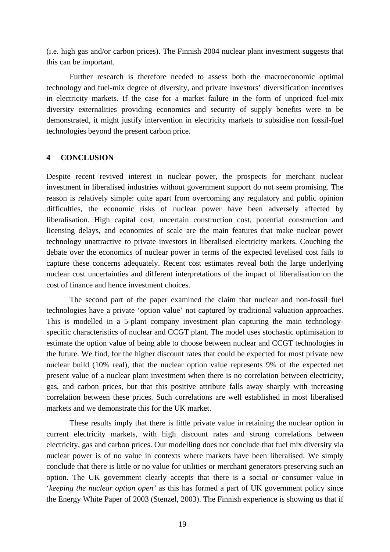(i.e. high gas and/or carbon prices). The Finnish 2004 nuclear plant investment suggests that this can be important.

Further research is therefore needed to assess both the macroeconomic optimal technology and fuel-mix degree of diversity, and private investors' diversification incentives in electricity markets. If the case for a market failure in the form of unpriced fuel-mix diversity externalities providing economics and security of supply benefits were to be demonstrated, it might justify intervention in electricity markets to subsidise non fossil-fuel technologies beyond the present carbon price.

# **4 CONCLUSION**

Despite recent revived interest in nuclear power, the prospects for merchant nuclear investment in liberalised industries without government support do not seem promising. The reason is relatively simple: quite apart from overcoming any regulatory and public opinion difficulties, the economic risks of nuclear power have been adversely affected by liberalisation. High capital cost, uncertain construction cost, potential construction and licensing delays, and economies of scale are the main features that make nuclear power technology unattractive to private investors in liberalised electricity markets. Couching the debate over the economics of nuclear power in terms of the expected levelised cost fails to capture these concerns adequately. Recent cost estimates reveal both the large underlying nuclear cost uncertainties and different interpretations of the impact of liberalisation on the cost of finance and hence investment choices.

The second part of the paper examined the claim that nuclear and non-fossil fuel technologies have a private 'option value' not captured by traditional valuation approaches. This is modelled in a 5-plant company investment plan capturing the main technologyspecific characteristics of nuclear and CCGT plant. The model uses stochastic optimisation to estimate the option value of being able to choose between nuclear and CCGT technologies in the future. We find, for the higher discount rates that could be expected for most private new nuclear build (10% real), that the nuclear option value represents 9% of the expected net present value of a nuclear plant investment when there is no correlation between electricity, gas, and carbon prices, but that this positive attribute falls away sharply with increasing correlation between these prices. Such correlations are well established in most liberalised markets and we demonstrate this for the UK market.

These results imply that there is little private value in retaining the nuclear option in current electricity markets, with high discount rates and strong correlations between electricity, gas and carbon prices. Our modelling does not conclude that fuel mix diversity via nuclear power is of no value in contexts where markets have been liberalised. We simply conclude that there is little or no value for utilities or merchant generators preserving such an option. The UK government clearly accepts that there is a social or consumer value in '*keeping the nuclear option open'* as this has formed a part of UK government policy since the Energy White Paper of 2003 (Stenzel, 2003). The Finnish experience is showing us that if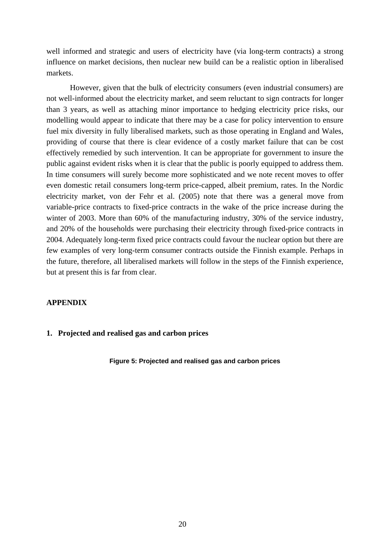well informed and strategic and users of electricity have (via long-term contracts) a strong influence on market decisions, then nuclear new build can be a realistic option in liberalised markets.

However, given that the bulk of electricity consumers (even industrial consumers) are not well-informed about the electricity market, and seem reluctant to sign contracts for longer than 3 years, as well as attaching minor importance to hedging electricity price risks, our modelling would appear to indicate that there may be a case for policy intervention to ensure fuel mix diversity in fully liberalised markets, such as those operating in England and Wales, providing of course that there is clear evidence of a costly market failure that can be cost effectively remedied by such intervention. It can be appropriate for government to insure the public against evident risks when it is clear that the public is poorly equipped to address them. In time consumers will surely become more sophisticated and we note recent moves to offer even domestic retail consumers long-term price-capped, albeit premium, rates. In the Nordic electricity market, von der Fehr et al. (2005) note that there was a general move from variable-price contracts to fixed-price contracts in the wake of the price increase during the winter of 2003. More than 60% of the manufacturing industry, 30% of the service industry, and 20% of the households were purchasing their electricity through fixed-price contracts in 2004. Adequately long-term fixed price contracts could favour the nuclear option but there are few examples of very long-term consumer contracts outside the Finnish example. Perhaps in the future, therefore, all liberalised markets will follow in the steps of the Finnish experience, but at present this is far from clear.

### **APPENDIX**

#### **1. Projected and realised gas and carbon prices**

**Figure 5: Projected and realised gas and carbon prices**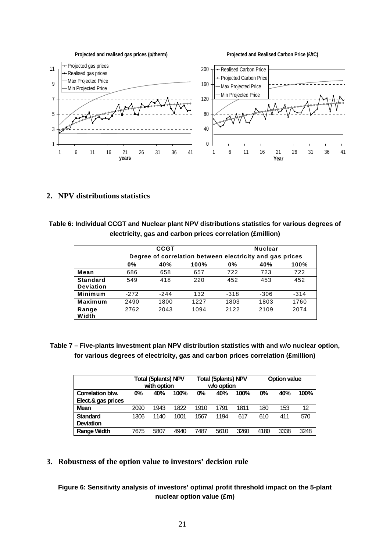

**2. NPV distributions statistics** 

| Table 6: Individual CCGT and Nuclear plant NPV distributions statistics for various degrees of |
|------------------------------------------------------------------------------------------------|
| electricity, gas and carbon prices correlation (£million)                                      |

|                  |                                                          | <b>CCGT</b> |      | <b>Nuclear</b> |        |        |  |  |  |
|------------------|----------------------------------------------------------|-------------|------|----------------|--------|--------|--|--|--|
|                  | Degree of correlation between electricity and gas prices |             |      |                |        |        |  |  |  |
|                  | 0%                                                       | 40%         | 100% | 0%             | 40%    | 100%   |  |  |  |
| Mean             | 686                                                      | 658         | 657  | 722            | 723    | 722    |  |  |  |
| <b>Standard</b>  | 549                                                      | 418         | 220  | 452            | 453    | 452    |  |  |  |
| <b>Deviation</b> |                                                          |             |      |                |        |        |  |  |  |
| Minimum          | $-272$                                                   | $-244$      | 132  | $-318$         | $-306$ | $-314$ |  |  |  |
| Maximum          | 2490                                                     | 1800        | 1227 | 1803           | 1803   | 1760   |  |  |  |
| Range            | 2762                                                     | 2043        | 1094 | 2122           | 2109   | 2074   |  |  |  |
| Width            |                                                          |             |      |                |        |        |  |  |  |

**Table 7 – Five-plants investment plan NPV distribution statistics with and w/o nuclear option, for various degrees of electricity, gas and carbon prices correlation (£million)** 

|                                               | <b>Total (5plants) NPV</b><br>with option |      |      | <b>Total (5plants) NPV</b><br>w/o option |      |      | <b>Option value</b> |      |      |
|-----------------------------------------------|-------------------------------------------|------|------|------------------------------------------|------|------|---------------------|------|------|
| <b>Correlation btw.</b><br>Elect.& gas prices | 0%                                        | 40%  | 100% | 0%                                       | 40%  | 100% | 0%                  | 40%  | 100% |
| <b>Mean</b>                                   | 2090                                      | 1943 | 1822 | 1910                                     | 1791 | 1811 | 180                 | 153  | 12   |
| <b>Standard</b><br><b>Deviation</b>           | 1306                                      | 1140 | 1001 | 1567                                     | 1194 | 617  | 610                 | 411  | 570  |
| <b>Range Width</b>                            | 7675                                      | 5807 | 4940 | 7487                                     | 5610 | 3260 | 4180                | 3338 | 3248 |

**3. Robustness of the option value to investors' decision rule** 

# **Figure 6: Sensitivity analysis of investors' optimal profit threshold impact on the 5-plant nuclear option value (£m)**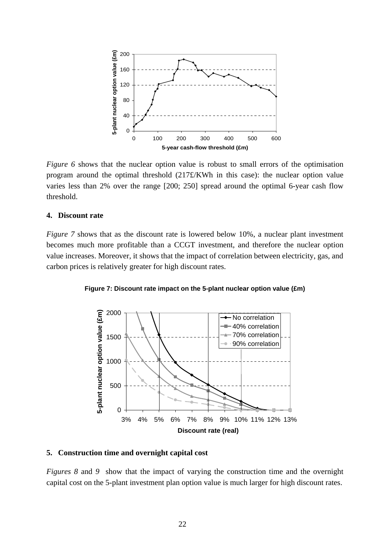

*Figure 6* shows that the nuclear option value is robust to small errors of the optimisation program around the optimal threshold (217£/KWh in this case): the nuclear option value varies less than 2% over the range [200; 250] spread around the optimal 6-year cash flow threshold.

#### **4. Discount rate**

*Figure* 7 shows that as the discount rate is lowered below 10%, a nuclear plant investment becomes much more profitable than a CCGT investment, and therefore the nuclear option value increases. Moreover, it shows that the impact of correlation between electricity, gas, and carbon prices is relatively greater for high discount rates.





#### **5. Construction time and overnight capital cost**

*Figures 8* and *9* show that the impact of varying the construction time and the overnight capital cost on the 5-plant investment plan option value is much larger for high discount rates.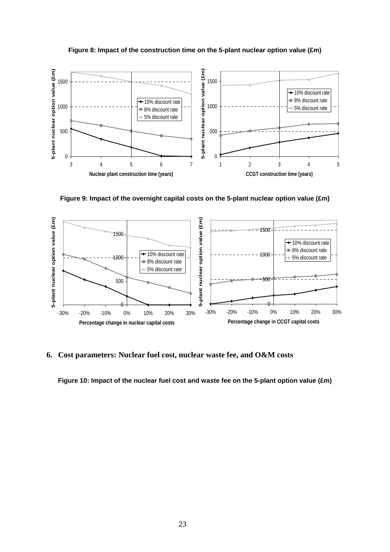#### **Figure 8: Impact of the construction time on the 5-plant nuclear option value (£m)**



**Figure 9: Impact of the overnight capital costs on the 5-plant nuclear option value (£m)** 



**6. Cost parameters: Nuclear fuel cost, nuclear waste fee, and O&M costs** 

**Figure 10: Impact of the nuclear fuel cost and waste fee on the 5-plant option value (£m)**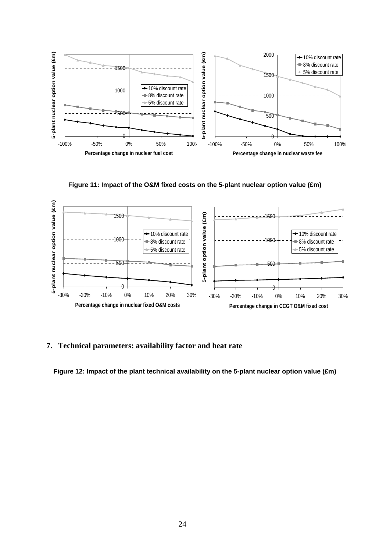

**Figure 11: Impact of the O&M fixed costs on the 5-plant nuclear option value (£m)** 



#### **7. Technical parameters: availability factor and heat rate**

**Figure 12: Impact of the plant technical availability on the 5-plant nuclear option value (£m)**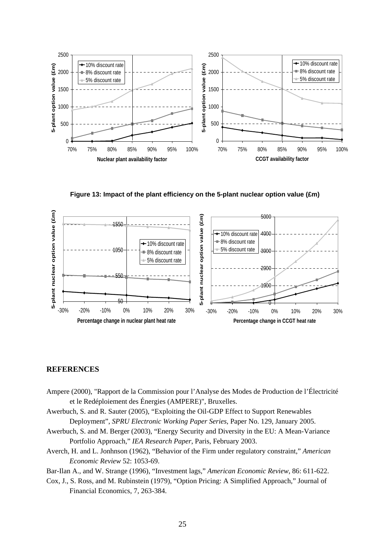

**Figure 13: Impact of the plant efficiency on the 5-plant nuclear option value (£m)** 



#### **REFERENCES**

- Ampere (2000), "Rapport de la Commission pour l'Analyse des Modes de Production de l'Électricité et le Redéploiement des Énergies (AMPERE)", Bruxelles.
- Awerbuch, S. and R. Sauter (2005), "Exploiting the Oil-GDP Effect to Support Renewables Deployment", *SPRU Electronic Working Paper Series*, Paper No. 129, January 2005.
- Awerbuch, S. and M. Berger (2003), "Energy Security and Diversity in the EU: A Mean-Variance Portfolio Approach," *IEA Research Paper*, Paris, February 2003.
- Averch, H. and L. Jonhnson (1962), "Behavior of the Firm under regulatory constraint," *American Economic Review* 52: 1053-69.

Bar-Ilan A., and W. Strange (1996), "Investment lags," *American Economic Review*, 86: 611-622.

Cox, J., S. Ross, and M. Rubinstein (1979), "Option Pricing: A Simplified Approach," Journal of Financial Economics, 7, 263-384.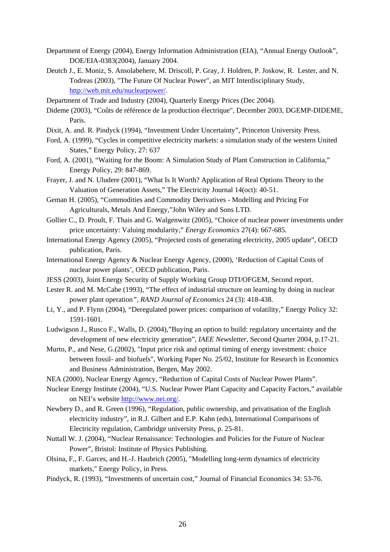- Department of Energy (2004), Energy Information Administration (EIA), "Annual Energy Outlook", DOE/EIA-0383(2004), January 2004.
- Deutch J., E. Moniz, S. Ansolabehere, M. Driscoll, P. Gray, J. Holdren, P. Joskow, R. Lester, and N. Todreas (2003), "The Future Of Nuclear Power", an MIT Interdisciplinary Study, [http://web.mit.edu/nuclearpower/.](http://web.mit.edu/nuclearpower/)
- Department of Trade and Industry (2004), Quarterly Energy Prices (Dec 2004).
- Dideme (2003), "Coûts de référence de la production électrique"*,* December 2003, DGEMP-DIDEME, Paris.
- Dixit, A. and. R. Pindyck (1994), "Investment Under Uncertainty", Princeton University Press.
- Ford, A. (1999), "Cycles in competitive electricity markets: a simulation study of the western United States," Energy Policy, 27: 637
- Ford, A. (2001), "Waiting for the Boom: A Simulation Study of Plant Construction in California," Energy Policy, 29: 847-869.
- Frayer, J. and N. Uludere (2001), "What Is It Worth? Application of Real Options Theory to the Valuation of Generation Assets," The Electricity Journal 14(oct): 40-51.
- Geman H. (2005), "Commodities and Commodity Derivatives Modelling and Pricing For Agriculturals, Metals And Energy,"John Wiley and Sons LTD.
- Gollier C., D. Proult, F. Thais and G. Walgenwitz (2005), "Choice of nuclear power investments under price uncertainty: Valuing modularity," *Energy Economics* 27(4): 667-685*.*
- International Energy Agency (2005), "Projected costs of generating electricity, 2005 update", OECD publication, Paris.
- International Energy Agency & Nuclear Energy Agency, (2000), 'Reduction of Capital Costs of nuclear power plants', OECD publication, Paris.
- JESS (2003), Joint Energy Security of Supply Working Group DTI/OFGEM, Second report.
- Lester R. and M. McCabe (1993), "The effect of industrial structure on learning by doing in nuclear power plant operation*", RAND Journal of Economics* 24 (3): 418-438.
- Li, Y., and P. Flynn (2004), "Deregulated power prices: comparison of volatility," Energy Policy 32: 1591-1601.
- Ludwigson J., Rusco F., Walls, D. (2004),"Buying an option to build: regulatory uncertainty and the development of new electricity generation", *IAEE Newsletter*, Second Quarter 2004, p.17-21.
- Murto, P., and Nese, G.(2002), "Input price risk and optimal timing of energy investment: choice between fossil- and biofuels", Working Paper No. 25/02, Institute for Research in Economics and Business Administration, Bergen, May 2002.
- NEA (2000), Nuclear Energy Agency, "Reduction of Capital Costs of Nuclear Power Plants".
- Nuclear Energy Institute (2004), "U.S. Nuclear Power Plant Capacity and Capacity Factors," available on NEI's website<http://www.nei.org/>.
- Newbery D., and R. Green (1996), "Regulation, public ownership, and privatisation of the English electricity industry", in R.J. Gilbert and E.P. Kahn (eds), International Comparisons of Electricity regulation, Cambridge university Press, p. 25-81.
- Nuttall W. J. (2004), "Nuclear Renaissance: Technologies and Policies for the Future of Nuclear Power", Bristol: Institute of Physics Publishing.
- Olsina, F., F. Garces, and H.-J. Haubrich (2005), "Modelling long-term dynamics of electricity markets," Energy Policy, in Press.
- Pindyck, R. (1993), "Investments of uncertain cost," Journal of Financial Economics 34: 53-76.